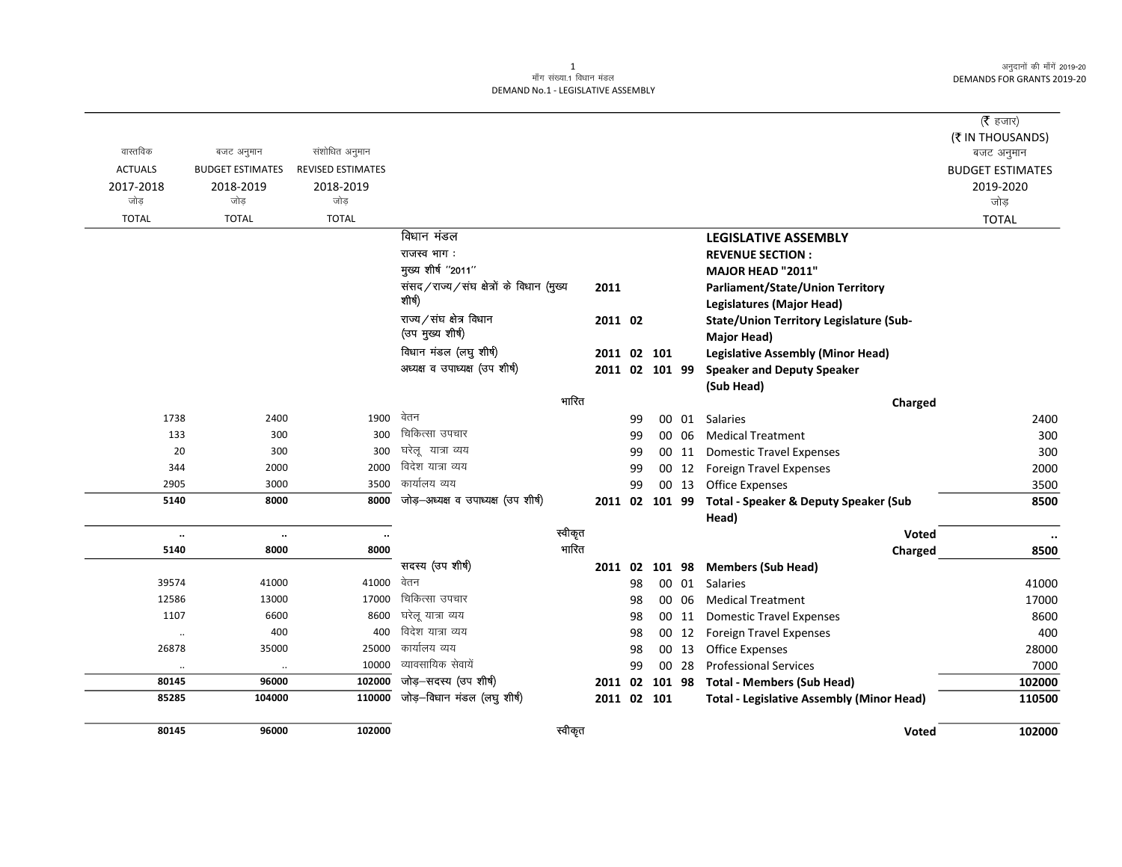अनुदानों की माँगें 2019-20 DEMANDS FOR GRANTS 2019-20

## 1<br>माँग संख्या.1 विधान मंडल DEMAND No.1 - LEGISLATIVE ASSEMBLY

| वास्तविक       | बजट अनुमान              | संशोधित अनुमान           |                                          |         |    |                |       |                                                      | ( $\bar{\tau}$ हजार)<br>(₹ IN THOUSANDS) |
|----------------|-------------------------|--------------------------|------------------------------------------|---------|----|----------------|-------|------------------------------------------------------|------------------------------------------|
| <b>ACTUALS</b> | <b>BUDGET ESTIMATES</b> | <b>REVISED ESTIMATES</b> |                                          |         |    |                |       |                                                      | बजट अनुमान<br><b>BUDGET ESTIMATES</b>    |
| 2017-2018      | 2018-2019               | 2018-2019                |                                          |         |    |                |       |                                                      | 2019-2020                                |
| जोड            | जोड                     | जोड़                     |                                          |         |    |                |       |                                                      | जोड                                      |
| <b>TOTAL</b>   | <b>TOTAL</b>            | <b>TOTAL</b>             |                                          |         |    |                |       |                                                      | <b>TOTAL</b>                             |
|                |                         |                          | विधान मंडल                               |         |    |                |       | <b>LEGISLATIVE ASSEMBLY</b>                          |                                          |
|                |                         |                          | राजस्व भाग:                              |         |    |                |       | <b>REVENUE SECTION:</b>                              |                                          |
|                |                         |                          | मुख्य शीर्ष "2011"                       |         |    |                |       | MAJOR HEAD "2011"                                    |                                          |
|                |                         |                          | संसद/राज्य/संघ क्षेत्रों के विधान (मुख्य | 2011    |    |                |       | Parliament/State/Union Territory                     |                                          |
|                |                         |                          | शीर्ष)                                   |         |    |                |       | <b>Legislatures (Major Head)</b>                     |                                          |
|                |                         |                          | राज्य/संघ क्षेत्र विधान                  | 2011 02 |    |                |       | State/Union Territory Legislature (Sub-              |                                          |
|                |                         |                          | (उप मुख्य शीर्ष)                         |         |    |                |       | Major Head)                                          |                                          |
|                |                         |                          | विधान मंडल (लघु शीर्ष)                   |         |    | 2011 02 101    |       | <b>Legislative Assembly (Minor Head)</b>             |                                          |
|                |                         |                          | अध्यक्ष व उपाध्यक्ष (उप शीर्ष)           |         |    | 2011 02 101 99 |       | <b>Speaker and Deputy Speaker</b>                    |                                          |
|                |                         |                          |                                          |         |    |                |       | (Sub Head)                                           |                                          |
|                |                         |                          |                                          | भारित   |    |                |       | Charged                                              |                                          |
| 1738           | 2400                    | 1900                     | वेतन                                     |         | 99 |                | 00 01 | Salaries                                             | 2400                                     |
| 133            | 300                     | 300                      | चिकित्सा उपचार                           |         | 99 |                | 00 06 | <b>Medical Treatment</b>                             | 300                                      |
| 20             | 300                     | 300                      | घरेलू यात्रा व्यय                        |         | 99 |                | 00 11 | <b>Domestic Travel Expenses</b>                      | 300                                      |
| 344            | 2000                    | 2000                     | विदेश यात्रा व्यय                        |         | 99 |                | 00 12 | <b>Foreign Travel Expenses</b>                       | 2000                                     |
| 2905           | 3000                    | 3500                     | कार्यालय व्यय                            |         | 99 |                | 00 13 | <b>Office Expenses</b>                               | 3500                                     |
| 5140           | 8000                    | 8000                     | जोड-अध्यक्ष व उपाध्यक्ष (उप शीर्ष)       |         |    |                |       | 2011 02 101 99 Total - Speaker & Deputy Speaker (Sub | 8500                                     |
|                |                         |                          |                                          |         |    |                |       | Head)                                                |                                          |
| $\ddotsc$      | $\ddotsc$               | $\ldots$                 |                                          | स्वीकृत |    |                |       | Voted                                                | $\ddotsc$                                |
| 5140           | 8000                    | 8000                     |                                          | भारित   |    |                |       | Charged                                              | 8500                                     |
|                |                         |                          | सदस्य (उप शीर्ष)                         | 2011 02 |    |                |       | 101 98 Members (Sub Head)                            |                                          |
| 39574          | 41000                   | 41000                    | वेतन                                     |         | 98 |                |       | 00 01 Salaries                                       | 41000                                    |
| 12586          | 13000                   | 17000                    | चिकित्सा उपचार                           |         | 98 |                | 00 06 | <b>Medical Treatment</b>                             | 17000                                    |
| 1107           | 6600                    | 8600                     | घरेलू यात्रा व्यय                        |         | 98 |                | 00 11 | <b>Domestic Travel Expenses</b>                      | 8600                                     |
| $\cdot\cdot$   | 400                     | 400                      | विदेश यात्रा व्यय                        |         | 98 |                | 00 12 | <b>Foreign Travel Expenses</b>                       | 400                                      |
| 26878          | 35000                   | 25000                    | कार्यालय व्यय                            |         | 98 |                | 00 13 | <b>Office Expenses</b>                               | 28000                                    |
| $\ddotsc$      | $\ldots$                | 10000                    | व्यावसायिक सेवायें                       |         | 99 |                | 00 28 | <b>Professional Services</b>                         | 7000                                     |
| 80145          | 96000                   | 102000                   | जोड़-सदस्य (उप शीर्ष)                    | 2011 02 |    | 101 98         |       | <b>Total - Members (Sub Head)</b>                    | 102000                                   |
| 85285          | 104000                  | 110000                   | जोड़-विधान मंडल (लघु शीर्ष)              |         |    | 2011 02 101    |       | <b>Total - Legislative Assembly (Minor Head)</b>     | 110500                                   |
| 80145          | 96000                   | 102000                   |                                          | स्वीकृत |    |                |       | <b>Voted</b>                                         | 102000                                   |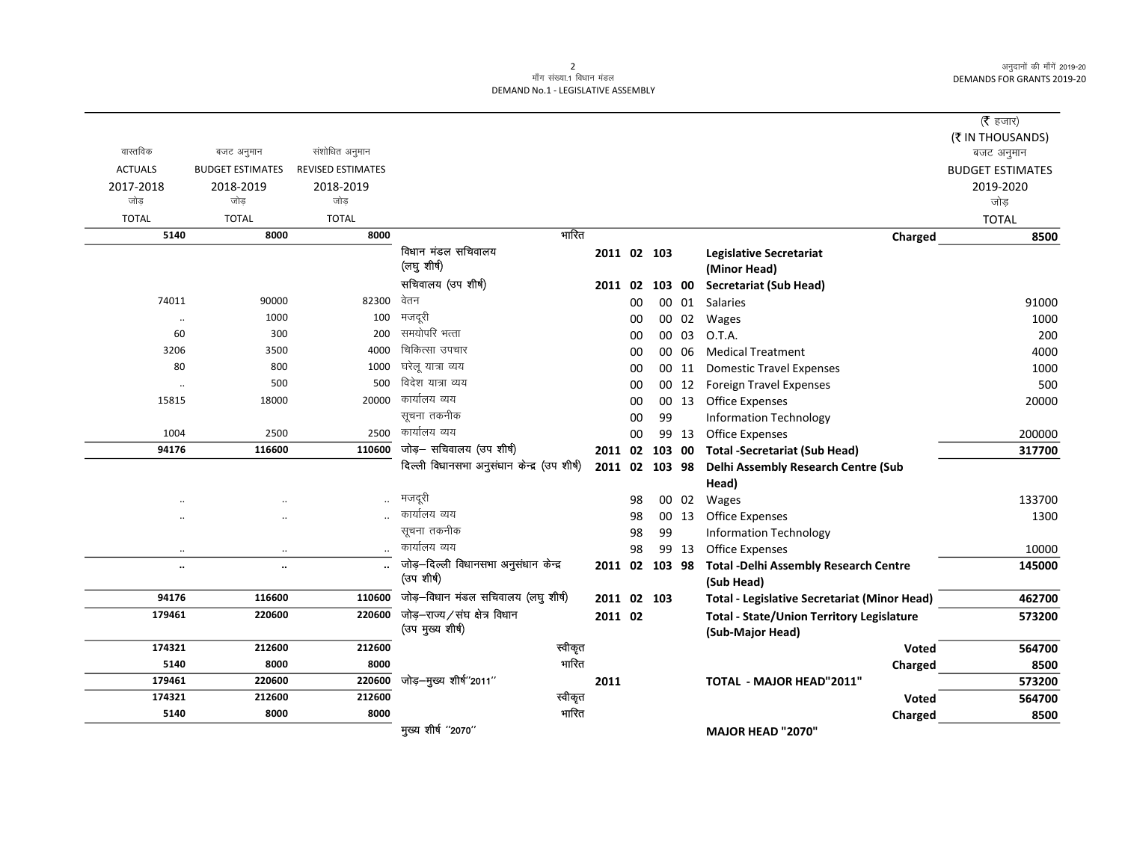अनुदानों की माँगें 2019-20 **DEMANDS FOR GRANTS 2019-20** 

 $\overline{\phantom{0}}$ 

## 2<br>माँग संख्या<sub>:1</sub> विधान मंडल DEMAND No.1 - LEGISLATIVE ASSEMBLY

|                |                         |                          |                                             |                |    |                |       |                                                     | ( $\bar{\tau}$ हजार)    |
|----------------|-------------------------|--------------------------|---------------------------------------------|----------------|----|----------------|-------|-----------------------------------------------------|-------------------------|
|                |                         |                          |                                             |                |    |                |       |                                                     | (そ IN THOUSANDS)        |
| वास्तविक       | बजट अनुमान              | संशोधित अनुमान           |                                             |                |    |                |       |                                                     | बजट अनुमान              |
| <b>ACTUALS</b> | <b>BUDGET ESTIMATES</b> | <b>REVISED ESTIMATES</b> |                                             |                |    |                |       |                                                     | <b>BUDGET ESTIMATES</b> |
| 2017-2018      | 2018-2019               | 2018-2019                |                                             |                |    |                |       |                                                     | 2019-2020               |
| जोड            | जोड                     | जोड                      |                                             |                |    |                |       |                                                     | जोड़                    |
| <b>TOTAL</b>   | <b>TOTAL</b>            | <b>TOTAL</b>             |                                             |                |    |                |       |                                                     | <b>TOTAL</b>            |
| 5140           | 8000                    | 8000                     | भारित                                       |                |    |                |       | Charged                                             | 8500                    |
|                |                         |                          | विधान मंडल सचिवालय                          | 2011 02 103    |    |                |       | <b>Legislative Secretariat</b>                      |                         |
|                |                         |                          | (लघु शीर्ष)                                 |                |    |                |       | (Minor Head)                                        |                         |
|                |                         |                          | सचिवालय (उप शीर्ष)                          |                |    | 2011 02 103 00 |       | <b>Secretariat (Sub Head)</b>                       |                         |
| 74011          | 90000                   | 82300                    | वेतन                                        |                | 00 |                | 00 01 | Salaries                                            | 91000                   |
| $\ddotsc$      | 1000                    | 100                      | मजदूरी                                      |                | 00 |                | 00 02 | Wages                                               | 1000                    |
| 60             | 300                     | 200                      | समयोपरि भत्ता                               |                | 00 |                | 00 03 | O.T.A.                                              | 200                     |
| 3206           | 3500                    | 4000                     | चिकित्सा उपचार                              |                | 00 |                | 00 06 | <b>Medical Treatment</b>                            | 4000                    |
| 80             | 800                     | 1000                     | घरेल यात्रा व्यय                            |                | 00 |                | 00 11 | <b>Domestic Travel Expenses</b>                     | 1000                    |
| $\ldots$       | 500                     | 500                      | विदेश यात्रा व्यय                           |                | 00 |                | 00 12 | <b>Foreign Travel Expenses</b>                      | 500                     |
| 15815          | 18000                   | 20000                    | कार्यालय व्यय                               |                | 00 |                | 00 13 | <b>Office Expenses</b>                              | 20000                   |
|                |                         |                          | सूचना तकनीक                                 |                | 00 | 99             |       | <b>Information Technology</b>                       |                         |
| 1004           | 2500                    | 2500                     | कार्यालय व्यय                               |                | 00 |                | 99 13 | Office Expenses                                     | 200000                  |
| 94176          | 116600                  | 110600                   | जोड़- सचिवालय (उप शीर्ष)                    |                |    | 2011 02 103 00 |       | <b>Total -Secretariat (Sub Head)</b>                | 317700                  |
|                |                         |                          | दिल्ली विधानसभा अनुसंधान केन्द्र (उप शीर्ष) | 2011 02 103 98 |    |                |       | Delhi Assembly Research Centre (Sub                 |                         |
|                |                         |                          |                                             |                |    |                |       | Head)                                               |                         |
| $\cdot$ .      |                         | $\ldots$                 | मजदूरी                                      |                | 98 |                | 00 02 | Wages                                               | 133700                  |
|                |                         |                          | कार्यालय व्यय                               |                | 98 |                | 00 13 | Office Expenses                                     | 1300                    |
|                |                         |                          | सूचना तकनीक                                 |                | 98 | 99             |       | <b>Information Technology</b>                       |                         |
| $\ldots$       | $\cdot\cdot$            |                          | कार्यालय व्यय                               |                | 98 |                | 99 13 | <b>Office Expenses</b>                              | 10000                   |
| $\ldots$       | $\cdot \cdot$           |                          | जोड़-दिल्ली विधानसभा अनुसंधान केन्द्र       |                |    | 2011 02 103 98 |       | <b>Total -Delhi Assembly Research Centre</b>        | 145000                  |
|                |                         |                          | (उप शीर्ष)                                  |                |    |                |       | (Sub Head)                                          |                         |
| 94176          | 116600                  | 110600                   | जोड़-विधान मंडल सचिवालय (लघु शीर्ष)         | 2011 02 103    |    |                |       | <b>Total - Legislative Secretariat (Minor Head)</b> | 462700                  |
| 179461         | 220600                  | 220600                   | जोड़-राज्य/संघ क्षेत्र विधान                | 2011 02        |    |                |       | <b>Total - State/Union Territory Legislature</b>    | 573200                  |
|                |                         |                          | (उप मुख्य शीर्ष)                            |                |    |                |       | (Sub-Major Head)                                    |                         |
| 174321         | 212600                  | 212600                   | स्वीकृत                                     |                |    |                |       | Voted                                               | 564700                  |
| 5140           | 8000                    | 8000                     | भारित                                       |                |    |                |       | Charged                                             | 8500                    |
| 179461         | 220600                  | 220600                   | जोड़-मुख्य शीर्ष"2011"                      | 2011           |    |                |       | <b>TOTAL - MAJOR HEAD"2011"</b>                     | 573200                  |
| 174321         | 212600                  | 212600                   | स्वीकृत                                     |                |    |                |       | <b>Voted</b>                                        | 564700                  |
| 5140           | 8000                    | 8000                     | भारित                                       |                |    |                |       | Charged                                             | 8500                    |
|                |                         |                          | मुख्य शीर्ष "2070"                          |                |    |                |       | <b>MAJOR HEAD "2070"</b>                            |                         |
|                |                         |                          |                                             |                |    |                |       |                                                     |                         |